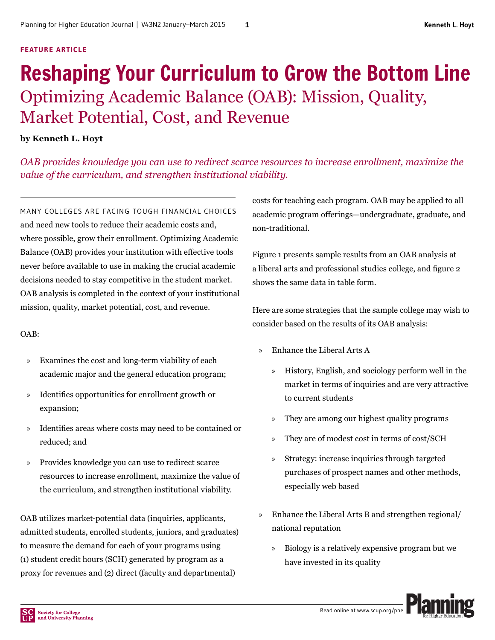#### **FEATURE ARTICLE**

## Reshaping Your Curriculum to Grow the Bottom Line Optimizing Academic Balance (OAB): Mission, Quality, Market Potential, Cost, and Revenue

#### **by Kenneth L. Hoyt**

*OAB provides knowledge you can use to redirect scarce resources to increase enrollment, maximize the value of the curriculum, and strengthen institutional viability.*

MANY COLLEGES ARE FACING TOUGH FINANCIAL CHOICES and need new tools to reduce their academic costs and, where possible, grow their enrollment. Optimizing Academic Balance (OAB) provides your institution with effective tools never before available to use in making the crucial academic decisions needed to stay competitive in the student market. OAB analysis is completed in the context of your institutional mission, quality, market potential, cost, and revenue.

#### OAB:

- » Examines the cost and long-term viability of each academic major and the general education program;
- » Identifies opportunities for enrollment growth or expansion;
- » Identifies areas where costs may need to be contained or reduced; and
- » Provides knowledge you can use to redirect scarce resources to increase enrollment, maximize the value of the curriculum, and strengthen institutional viability.

OAB utilizes market-potential data (inquiries, applicants, admitted students, enrolled students, juniors, and graduates) to measure the demand for each of your programs using (1) student credit hours (SCH) generated by program as a proxy for revenues and (2) direct (faculty and departmental)

costs for teaching each program. OAB may be applied to all academic program offerings—undergraduate, graduate, and non-traditional.

Figure 1 presents sample results from an OAB analysis at a liberal arts and professional studies college, and figure 2 shows the same data in table form.

Here are some strategies that the sample college may wish to consider based on the results of its OAB analysis:

- » Enhance the Liberal Arts A
	- » History, English, and sociology perform well in the market in terms of inquiries and are very attractive to current students
	- » They are among our highest quality programs
	- » They are of modest cost in terms of cost/SCH
	- » Strategy: increase inquiries through targeted purchases of prospect names and other methods, especially web based
- » Enhance the Liberal Arts B and strengthen regional/ national reputation
	- » Biology is a relatively expensive program but we have invested in its quality

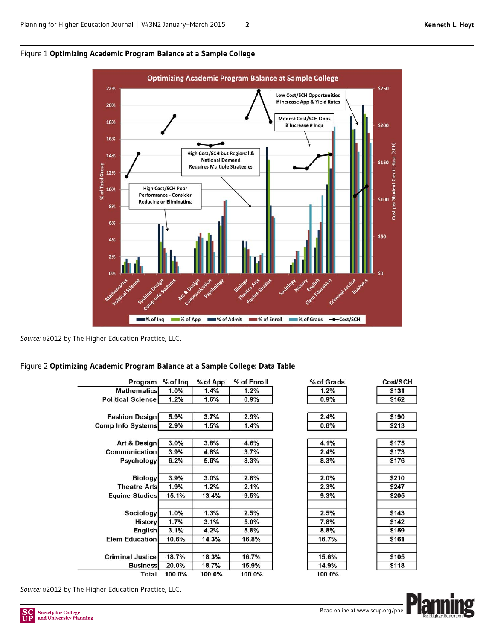

Figure 1 **Optimizing Academic Program Balance at a Sample College**

*Source:* ©2012 by The Higher Education Practice, LLC.

#### Figure 2 **Optimizing Academic Program Balance at a Sample College: Data Table**

| Program                  | % of Inq | % of App | % of Enroll |  |
|--------------------------|----------|----------|-------------|--|
| <b>Mathematics</b>       | 1.0%     | 1.4%     | 1.2%        |  |
| <b>Political Science</b> | 1.2%     | 1.6%     | 0.9%        |  |
| <b>Fashion Design</b>    | 5.9%     | 3.7%     | 2.9%        |  |
| <b>Comp Info Systems</b> | 2.9%     | 1.5%     | 1.4%        |  |
| Art & Design             | 3.0%     | 3.8%     | 4.6%        |  |
| Communication            | 3.9%     | 4.8%     | 3.7%        |  |
| Psychology               | 6.2%     | 5.6%     | 8.3%        |  |
| <b>Biology</b>           | 3.9%     | 3.0%     | 2.8%        |  |
| <b>Theatre Arts</b>      | 1.9%     | 1.2%     | 2.1%        |  |
| Equine Studies           | 15.1%    | 13.4%    | 9.5%        |  |
| Sociology                | 1.0%     | 1.3%     | 2.5%        |  |
| History                  | 1.7%     | 3.1%     | 5.0%        |  |
| English                  | 3.1%     | 4.2%     | 5.8%        |  |
| <b>Elem Education</b>    | 10.6%    | 14.3%    | 16.8%       |  |
| <b>Criminal Justice</b>  | 18.7%    | 18.3%    | 16.7%       |  |
| <b>Business</b>          | 20.0%    | 18.7%    | 15.9%       |  |
| Total                    | 100.0%   | 100.0%   | 100.0%      |  |

| % of Grads | Сc |
|------------|----|
| 1.2%       |    |
| 0.9%       |    |
| 2.4%       |    |
| 0.8%       |    |
| 4.1%       |    |
| 2.4%       |    |
| 8.3%       |    |
| 2.0%       |    |
| 2.3%       |    |
| 9.3%       |    |
| 2.5%       |    |
|            |    |
| 7.8%       |    |
| 8.8%       |    |
| 16.7%      |    |
|            |    |

| <b>Cost/SCH</b> |       |  |
|-----------------|-------|--|
|                 | \$131 |  |
|                 | \$162 |  |

┨

| \$175 |  |
|-------|--|
| \$173 |  |
| \$176 |  |
| \$210 |  |
| \$247 |  |
| \$205 |  |
| \$143 |  |
| \$142 |  |
| \$159 |  |
| \$161 |  |
| \$105 |  |
| \$118 |  |

100.0%

15.6% 14.9%



*Source:* ©2012 by The Higher Education Practice, LLC.

 $\overline{a}$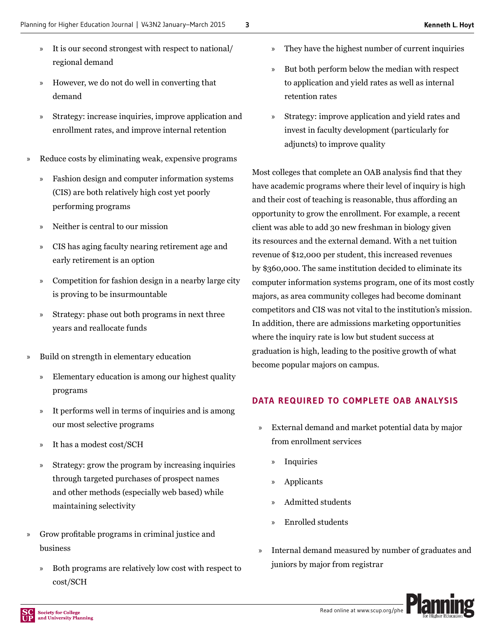- » It is our second strongest with respect to national/ regional demand
- » However, we do not do well in converting that demand
- » Strategy: increase inquiries, improve application and enrollment rates, and improve internal retention
- » Reduce costs by eliminating weak, expensive programs
	- » Fashion design and computer information systems (CIS) are both relatively high cost yet poorly performing programs
	- » Neither is central to our mission
	- » CIS has aging faculty nearing retirement age and early retirement is an option
	- » Competition for fashion design in a nearby large city is proving to be insurmountable
	- » Strategy: phase out both programs in next three years and reallocate funds
- » Build on strength in elementary education
	- » Elementary education is among our highest quality programs
	- » It performs well in terms of inquiries and is among our most selective programs
	- » It has a modest cost/SCH
	- » Strategy: grow the program by increasing inquiries through targeted purchases of prospect names and other methods (especially web based) while maintaining selectivity
- » Grow profitable programs in criminal justice and business
	- » Both programs are relatively low cost with respect to cost/SCH
- They have the highest number of current inquiries
- » But both perform below the median with respect to application and yield rates as well as internal retention rates
- » Strategy: improve application and yield rates and invest in faculty development (particularly for adjuncts) to improve quality

Most colleges that complete an OAB analysis find that they have academic programs where their level of inquiry is high and their cost of teaching is reasonable, thus affording an opportunity to grow the enrollment. For example, a recent client was able to add 30 new freshman in biology given its resources and the external demand. With a net tuition revenue of \$12,000 per student, this increased revenues by \$360,000. The same institution decided to eliminate its computer information systems program, one of its most costly majors, as area community colleges had become dominant competitors and CIS was not vital to the institution's mission. In addition, there are admissions marketing opportunities where the inquiry rate is low but student success at graduation is high, leading to the positive growth of what become popular majors on campus.

#### **DATA REQUIRED TO COMPLETE OAB ANALYSIS**

- » External demand and market potential data by major from enrollment services
	- » Inquiries
	- » Applicants
	- » Admitted students
	- » Enrolled students
- » Internal demand measured by number of graduates and juniors by major from registrar

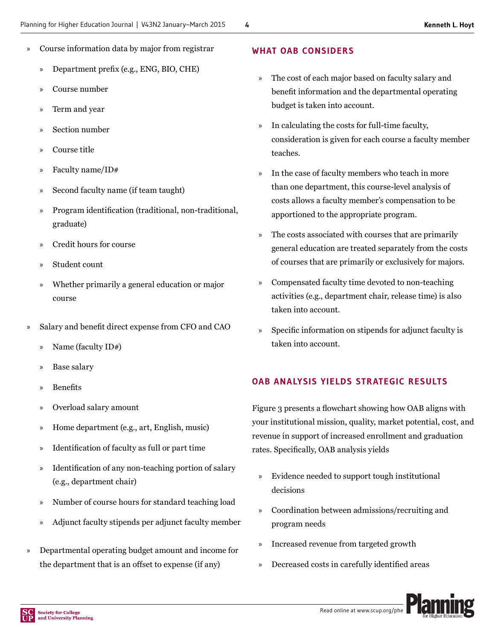- » Course information data by major from registrar
	- » Department prefix (e.g., ENG, BIO, CHE)
	- » Course number
	- » Term and year
	- » Section number
	- » Course title
	- » Faculty name/ID#
	- » Second faculty name (if team taught)
	- » Program identification (traditional, non-traditional, graduate)
	- » Credit hours for course
	- » Student count
	- » Whether primarily a general education or major course
- Salary and benefit direct expense from CFO and CAO
	- » Name (faculty ID#)
	- » Base salary
	- » Benefits
	- » Overload salary amount
	- » Home department (e.g., art, English, music)
	- » Identification of faculty as full or part time
	- » Identification of any non-teaching portion of salary (e.g., department chair)
	- » Number of course hours for standard teaching load
	- » Adjunct faculty stipends per adjunct faculty member
- » Departmental operating budget amount and income for the department that is an offset to expense (if any)

#### **WHAT OAB CONSIDERS**

- » The cost of each major based on faculty salary and benefit information and the departmental operating budget is taken into account.
- » In calculating the costs for full-time faculty, consideration is given for each course a faculty member teaches.
- » In the case of faculty members who teach in more than one department, this course-level analysis of costs allows a faculty member's compensation to be apportioned to the appropriate program.
- » The costs associated with courses that are primarily general education are treated separately from the costs of courses that are primarily or exclusively for majors.
- » Compensated faculty time devoted to non-teaching activities (e.g., department chair, release time) is also taken into account.
- » Specific information on stipends for adjunct faculty is taken into account.

#### **OAB ANALYSIS YIELDS STRATEGIC RESULTS**

Figure 3 presents a flowchart showing how OAB aligns with your institutional mission, quality, market potential, cost, and revenue in support of increased enrollment and graduation rates. Specifically, OAB analysis yields

- » Evidence needed to support tough institutional decisions
- » Coordination between admissions/recruiting and program needs
- » Increased revenue from targeted growth
- » Decreased costs in carefully identified areas

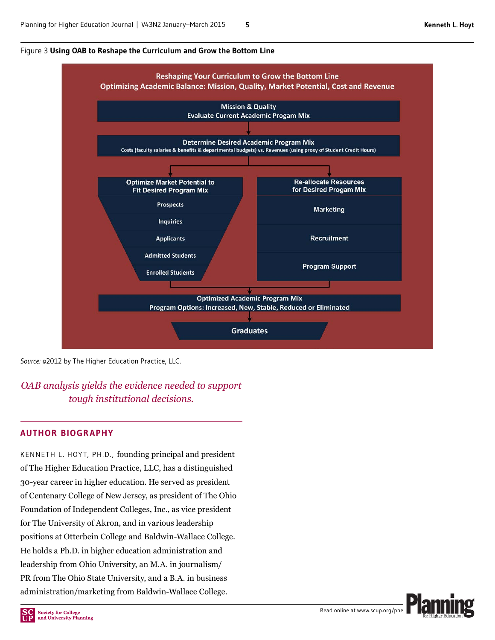



*Source:* ©2012 by The Higher Education Practice, LLC.

*OAB analysis yields the evidence needed to support tough institutional decisions.*

#### **AUTHOR BIOGRAPHY**

KENNETH L. HOYT, PH.D., founding principal and president of The Higher Education Practice, LLC, has a distinguished 30-year career in higher education. He served as president of Centenary College of New Jersey, as president of The Ohio Foundation of Independent Colleges, Inc., as vice president for The University of Akron, and in various leadership positions at Otterbein College and Baldwin-Wallace College. He holds a Ph.D. in higher education administration and leadership from Ohio University, an M.A. in journalism/ PR from The Ohio State University, and a B.A. in business administration/marketing from Baldwin-Wallace College.

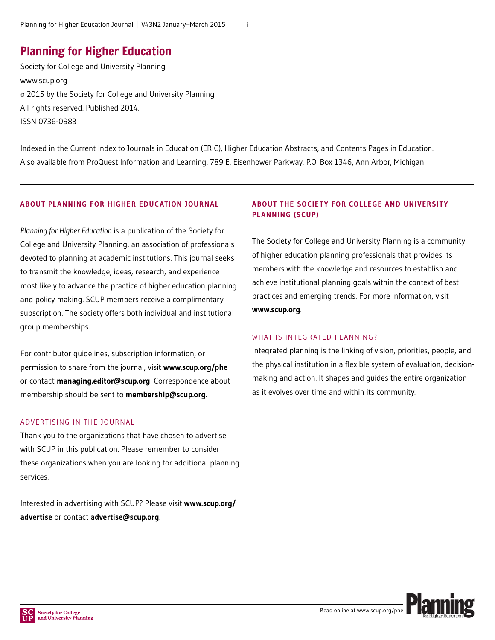### Planning for Higher Education

Society for College and University Planning [www.scup.org](http://www.scup.org) © 2015 by the Society for College and University Planning All rights reserved. Published 2014. ISSN 0736-0983

Indexed in the Current Index to Journals in Education (ERIC), Higher Education Abstracts, and Contents Pages in Education. Also available from ProQuest Information and Learning, 789 E. Eisenhower Parkway, P.O. Box 1346, Ann Arbor, Michigan

#### **ABOUT PLANNING FOR HIGHER EDUCATION JOURNAL**

*Planning for Higher Education* is a publication of the Society for College and University Planning, an association of professionals devoted to planning at academic institutions. This journal seeks to transmit the knowledge, ideas, research, and experience most likely to advance the practice of higher education planning and policy making. SCUP members receive a complimentary subscription. The society offers both individual and institutional group memberships.

For contributor guidelines, subscription information, or permission to share from the journal, visit **[www.scup.org/phe](http://www.scup.org/phe)**  or contact **[managing.editor@scup.org](mailto:managing.editor@scup.org)**. Correspondence about membership should be sent to **[membership@scup.org](mailto:membership@scup.org.)**.

#### ADVERTISING IN THE JOURNAL

Thank you to the organizations that have chosen to advertise with SCUP in this publication. Please remember to consider these organizations when you are looking for additional planning services.

Interested in advertising with SCUP? Please visit **[www.scup.org/](http://www.scup.org/advertise) [advertise](http://www.scup.org/advertise)** or contact **[advertise@scup.org](mailto:advertise@scup.org)**.

#### **ABOUT THE SOCIETY FOR COLLEGE AND UNIVERSITY PLANNING (SCUP)**

The Society for College and University Planning is a community of higher education planning professionals that provides its members with the knowledge and resources to establish and achieve institutional planning goals within the context of best practices and emerging trends. For more information, visit **[www.scup.org](http://www.scup.org)**.

#### WHAT IS INTEGRATED PLANNING?

Integrated planning is the linking of vision, priorities, people, and the physical institution in a flexible system of evaluation, decisionmaking and action. It shapes and guides the entire organization as it evolves over time and within its community.